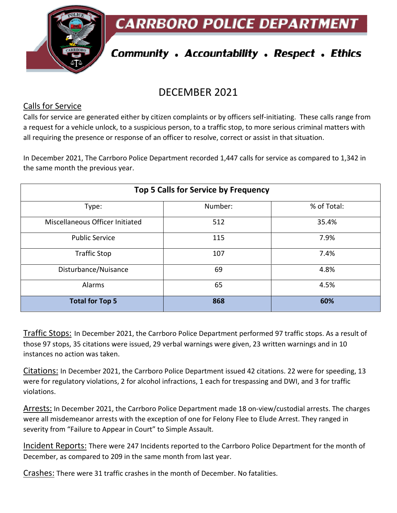



# **Community . Accountability . Respect . Ethics**

## DECEMBER 2021

#### Calls for Service

Calls for service are generated either by citizen complaints or by officers self-initiating. These calls range from a request for a vehicle unlock, to a suspicious person, to a traffic stop, to more serious criminal matters with all requiring the presence or response of an officer to resolve, correct or assist in that situation.

In December 2021, The Carrboro Police Department recorded 1,447 calls for service as compared to 1,342 in the same month the previous year.

| Top 5 Calls for Service by Frequency |         |             |
|--------------------------------------|---------|-------------|
| Type:                                | Number: | % of Total: |
| Miscellaneous Officer Initiated      | 512     | 35.4%       |
| <b>Public Service</b>                | 115     | 7.9%        |
| <b>Traffic Stop</b>                  | 107     | 7.4%        |
| Disturbance/Nuisance                 | 69      | 4.8%        |
| Alarms                               | 65      | 4.5%        |
| <b>Total for Top 5</b>               | 868     | 60%         |

Traffic Stops: In December 2021, the Carrboro Police Department performed 97 traffic stops. As a result of those 97 stops, 35 citations were issued, 29 verbal warnings were given, 23 written warnings and in 10 instances no action was taken.

Citations: In December 2021, the Carrboro Police Department issued 42 citations. 22 were for speeding, 13 were for regulatory violations, 2 for alcohol infractions, 1 each for trespassing and DWI, and 3 for traffic violations.

Arrests: In December 2021, the Carrboro Police Department made 18 on-view/custodial arrests. The charges were all misdemeanor arrests with the exception of one for Felony Flee to Elude Arrest. They ranged in severity from "Failure to Appear in Court" to Simple Assault.

Incident Reports: There were 247 Incidents reported to the Carrboro Police Department for the month of December, as compared to 209 in the same month from last year.

Crashes: There were 31 traffic crashes in the month of December. No fatalities.